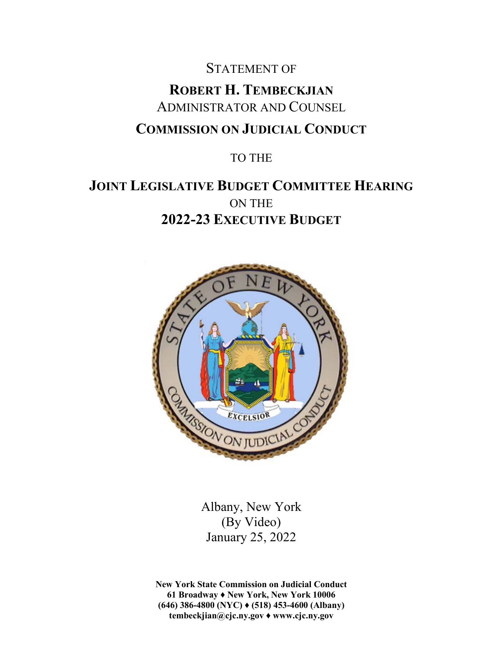# STATEMENT OF **ROBERT H. TEMBECKJIAN** ADMINISTRATOR AND COUNSEL **COMMISSION ON JUDICIAL CONDUCT**

### TO THE

## **JOINT LEGISLATIVE BUDGET COMMITTEE HEARING** ON THE **2022-23 EXECUTIVE BUDGET**



Albany, New York (By Video) January 25, 2022

**New York State Commission on Judicial Conduct 61 Broadway ♦ New York, New York 10006 (646) 386-4800 (NYC) ♦ (518) 453-4600 (Albany) tembeckjian@cjc.ny.gov ♦ www.cjc.ny.gov**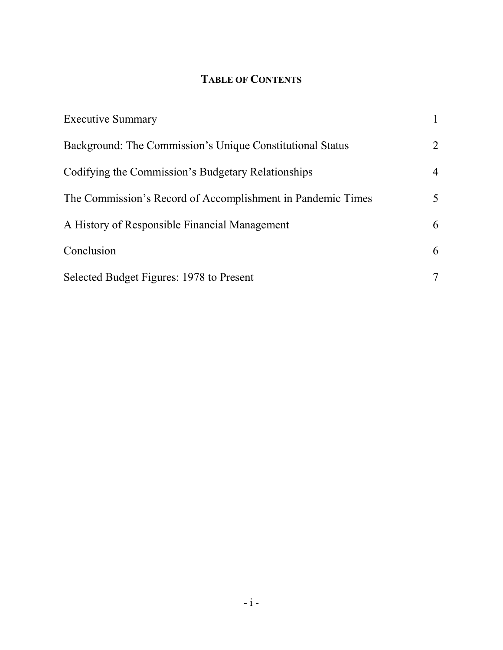## **TABLE OF CONTENTS**

| <b>Executive Summary</b>                                    |                |
|-------------------------------------------------------------|----------------|
| Background: The Commission's Unique Constitutional Status   | 2              |
| Codifying the Commission's Budgetary Relationships          | $\overline{4}$ |
| The Commission's Record of Accomplishment in Pandemic Times | 5              |
| A History of Responsible Financial Management               | 6              |
| Conclusion                                                  | 6              |
| Selected Budget Figures: 1978 to Present                    | 7              |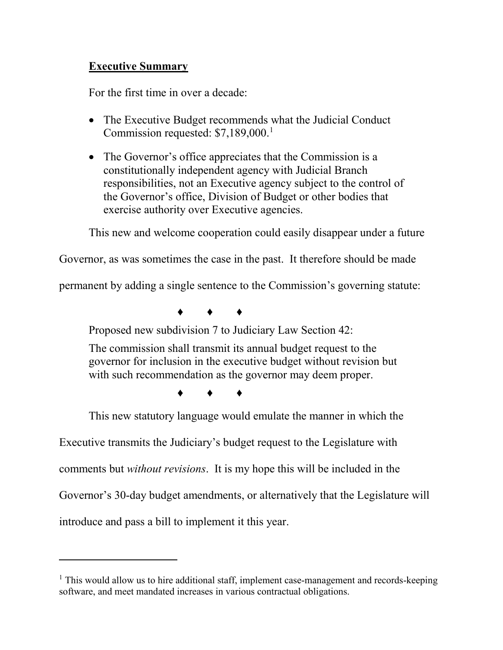#### **Executive Summary**

For the first time in over a decade:

- The Executive Budget recommends what the Judicial Conduct Commission requested: \$7,[1](#page-2-0)89,000.<sup>1</sup>
- The Governor's office appreciates that the Commission is a constitutionally independent agency with Judicial Branch responsibilities, not an Executive agency subject to the control of the Governor's office, Division of Budget or other bodies that exercise authority over Executive agencies.

This new and welcome cooperation could easily disappear under a future

Governor, as was sometimes the case in the past. It therefore should be made

permanent by adding a single sentence to the Commission's governing statute:

♦ ♦ ♦

Proposed new subdivision 7 to Judiciary Law Section 42:

The commission shall transmit its annual budget request to the governor for inclusion in the executive budget without revision but with such recommendation as the governor may deem proper.

♦ ♦ ♦

This new statutory language would emulate the manner in which the

Executive transmits the Judiciary's budget request to the Legislature with

comments but *without revisions*. It is my hope this will be included in the

Governor's 30-day budget amendments, or alternatively that the Legislature will

introduce and pass a bill to implement it this year.

<span id="page-2-0"></span> $<sup>1</sup>$  This would allow us to hire additional staff, implement case-management and records-keeping</sup> software, and meet mandated increases in various contractual obligations.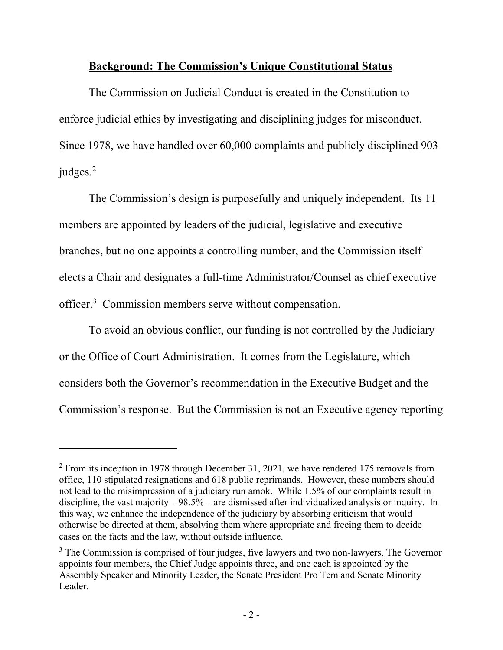#### **Background: The Commission's Unique Constitutional Status**

The Commission on Judicial Conduct is created in the Constitution to enforce judicial ethics by investigating and disciplining judges for misconduct. Since 1978, we have handled over 60,000 complaints and publicly disciplined 903 judges.<sup>[2](#page-3-0)</sup>

The Commission's design is purposefully and uniquely independent. Its 11 members are appointed by leaders of the judicial, legislative and executive branches, but no one appoints a controlling number, and the Commission itself elects a Chair and designates a full-time Administrator/Counsel as chief executive officer.<sup>[3](#page-3-1)</sup> Commission members serve without compensation.

To avoid an obvious conflict, our funding is not controlled by the Judiciary or the Office of Court Administration. It comes from the Legislature, which considers both the Governor's recommendation in the Executive Budget and the Commission's response. But the Commission is not an Executive agency reporting

<span id="page-3-0"></span> $2$  From its inception in 1978 through December 31, 2021, we have rendered 175 removals from office, 110 stipulated resignations and 618 public reprimands. However, these numbers should not lead to the misimpression of a judiciary run amok. While 1.5% of our complaints result in discipline, the vast majority  $-98.5\%$  – are dismissed after individualized analysis or inquiry. In this way, we enhance the independence of the judiciary by absorbing criticism that would otherwise be directed at them, absolving them where appropriate and freeing them to decide cases on the facts and the law, without outside influence.

<span id="page-3-1"></span> $3$  The Commission is comprised of four judges, five lawyers and two non-lawyers. The Governor appoints four members, the Chief Judge appoints three, and one each is appointed by the Assembly Speaker and Minority Leader, the Senate President Pro Tem and Senate Minority Leader.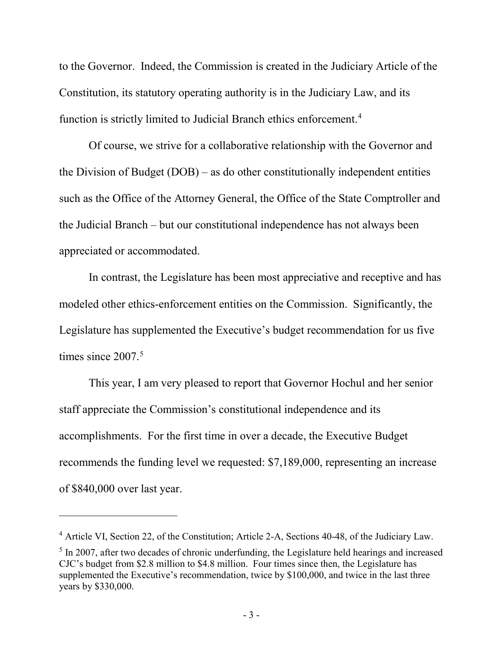to the Governor. Indeed, the Commission is created in the Judiciary Article of the Constitution, its statutory operating authority is in the Judiciary Law, and its function is strictly limited to Judicial Branch ethics enforcement.<sup>[4](#page-4-0)</sup>

Of course, we strive for a collaborative relationship with the Governor and the Division of Budget (DOB) – as do other constitutionally independent entities such as the Office of the Attorney General, the Office of the State Comptroller and the Judicial Branch – but our constitutional independence has not always been appreciated or accommodated.

In contrast, the Legislature has been most appreciative and receptive and has modeled other ethics-enforcement entities on the Commission. Significantly, the Legislature has supplemented the Executive's budget recommendation for us five times since 2007. [5](#page-4-1)

This year, I am very pleased to report that Governor Hochul and her senior staff appreciate the Commission's constitutional independence and its accomplishments. For the first time in over a decade, the Executive Budget recommends the funding level we requested: \$7,189,000, representing an increase of \$840,000 over last year.

<span id="page-4-0"></span><sup>4</sup> Article VI, Section 22, of the Constitution; Article 2-A, Sections 40-48, of the Judiciary Law.

<span id="page-4-1"></span><sup>&</sup>lt;sup>5</sup> In 2007, after two decades of chronic underfunding, the Legislature held hearings and increased CJC's budget from \$2.8 million to \$4.8 million. Four times since then, the Legislature has supplemented the Executive's recommendation, twice by \$100,000, and twice in the last three years by \$330,000.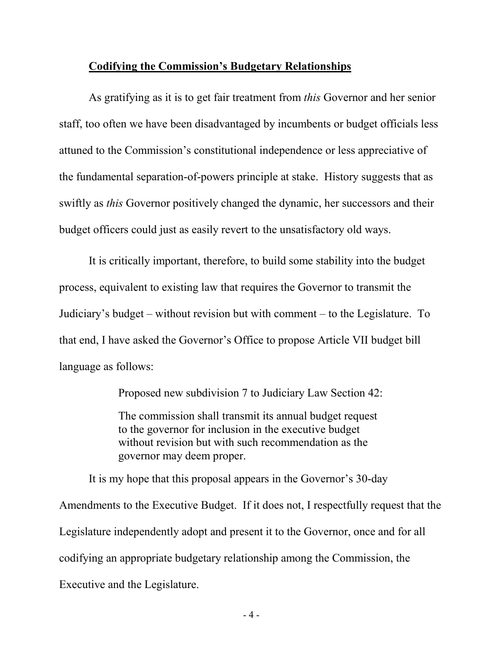#### **Codifying the Commission's Budgetary Relationships**

As gratifying as it is to get fair treatment from *this* Governor and her senior staff, too often we have been disadvantaged by incumbents or budget officials less attuned to the Commission's constitutional independence or less appreciative of the fundamental separation-of-powers principle at stake. History suggests that as swiftly as *this* Governor positively changed the dynamic, her successors and their budget officers could just as easily revert to the unsatisfactory old ways.

It is critically important, therefore, to build some stability into the budget process, equivalent to existing law that requires the Governor to transmit the Judiciary's budget – without revision but with comment – to the Legislature. To that end, I have asked the Governor's Office to propose Article VII budget bill language as follows:

Proposed new subdivision 7 to Judiciary Law Section 42:

The commission shall transmit its annual budget request to the governor for inclusion in the executive budget without revision but with such recommendation as the governor may deem proper.

It is my hope that this proposal appears in the Governor's 30-day Amendments to the Executive Budget. If it does not, I respectfully request that the Legislature independently adopt and present it to the Governor, once and for all codifying an appropriate budgetary relationship among the Commission, the Executive and the Legislature.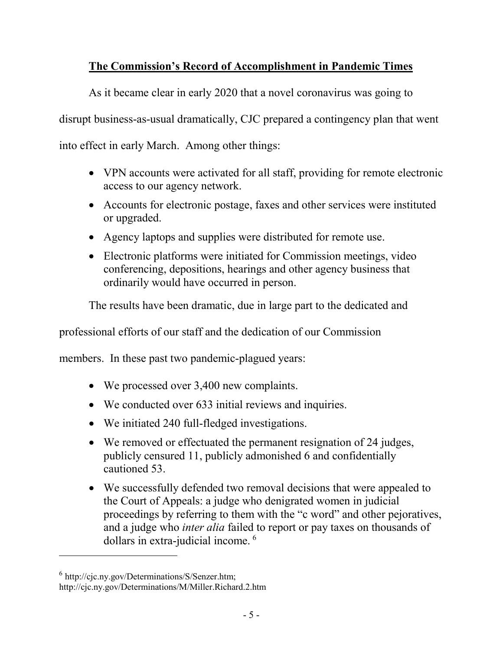## **The Commission's Record of Accomplishment in Pandemic Times**

As it became clear in early 2020 that a novel coronavirus was going to

disrupt business-as-usual dramatically, CJC prepared a contingency plan that went

into effect in early March. Among other things:

- VPN accounts were activated for all staff, providing for remote electronic access to our agency network.
- Accounts for electronic postage, faxes and other services were instituted or upgraded.
- Agency laptops and supplies were distributed for remote use.
- Electronic platforms were initiated for Commission meetings, video conferencing, depositions, hearings and other agency business that ordinarily would have occurred in person.

The results have been dramatic, due in large part to the dedicated and

professional efforts of our staff and the dedication of our Commission

members. In these past two pandemic-plagued years:

- We processed over 3,400 new complaints.
- We conducted over 633 initial reviews and inquiries.
- We initiated 240 full-fledged investigations.
- We removed or effectuated the permanent resignation of 24 judges, publicly censured 11, publicly admonished 6 and confidentially cautioned 53.
- We successfully defended two removal decisions that were appealed to the Court of Appeals: a judge who denigrated women in judicial proceedings by referring to them with the "c word" and other pejoratives, and a judge who *inter alia* failed to report or pay taxes on thousands of dollars in extra-judicial income. [6](#page-6-0)

<span id="page-6-0"></span> $6$  [http://cjc.ny.gov/Determinations/S/Senzer.htm;](http://cjc.ny.gov/Determinations/S/Senzer.htm)

<http://cjc.ny.gov/Determinations/M/Miller.Richard.2.htm>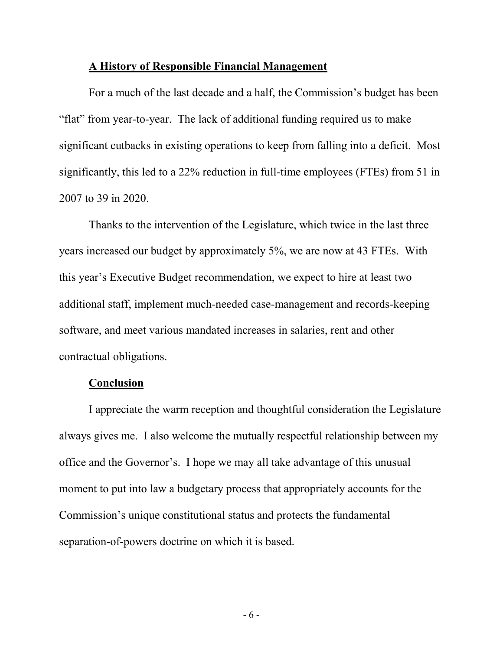#### **A History of Responsible Financial Management**

For a much of the last decade and a half, the Commission's budget has been "flat" from year-to-year. The lack of additional funding required us to make significant cutbacks in existing operations to keep from falling into a deficit. Most significantly, this led to a 22% reduction in full-time employees (FTEs) from 51 in 2007 to 39 in 2020.

Thanks to the intervention of the Legislature, which twice in the last three years increased our budget by approximately 5%, we are now at 43 FTEs. With this year's Executive Budget recommendation, we expect to hire at least two additional staff, implement much-needed case-management and records-keeping software, and meet various mandated increases in salaries, rent and other contractual obligations.

#### **Conclusion**

I appreciate the warm reception and thoughtful consideration the Legislature always gives me. I also welcome the mutually respectful relationship between my office and the Governor's. I hope we may all take advantage of this unusual moment to put into law a budgetary process that appropriately accounts for the Commission's unique constitutional status and protects the fundamental separation-of-powers doctrine on which it is based.